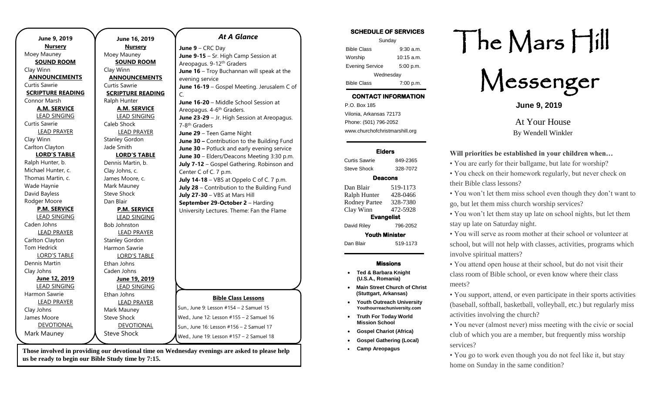| June 9, 2019             | June 16, 2019            | <b>At A Glance</b>                          |
|--------------------------|--------------------------|---------------------------------------------|
| <b>Nursery</b>           | <b>Nursery</b>           | June 9 - CRC Day                            |
| Moey Mauney              | Moey Mauney              | June 9-15 - Sr. High Camp Session at        |
| <b>SOUND ROOM</b>        | <b>SOUND ROOM</b>        | Areopagus. 9-12 <sup>th</sup> Graders       |
| Clay Winn                | Clay Winn                | June 16 - Troy Buchannan will speak at the  |
| <b>ANNOUNCEMENTS</b>     | <b>ANNOUNCEMENTS</b>     | evening service                             |
| Curtis Sawrie            | Curtis Sawrie            | June 16-19 - Gospel Meeting. Jerusalem C of |
| <b>SCRIPTURE READING</b> | <b>SCRIPTURE READING</b> | $\mathsf{C}$ .                              |
| Connor Marsh             | Ralph Hunter             | June 16-20 - Middle School Session at       |
| <b>A.M. SERVICE</b>      | <b>A.M. SERVICE</b>      | Areopagus. 4-6 <sup>th</sup> Graders.       |
| <b>LEAD SINGING</b>      | <b>LEAD SINGING</b>      | June 23-29 - Jr. High Session at Areopagus. |
| Curtis Sawrie            | Caleb Shock              | 7-8 <sup>th</sup> Graders                   |
| <b>LEAD PRAYER</b>       | <b>LEAD PRAYER</b>       | June 29 - Teen Game Night                   |
| Clay Winn                | <b>Stanley Gordon</b>    | June 30 - Contribution to the Building Fund |
| Carlton Clayton          | Jade Smith               | June 30 - Potluck and early evening service |
| <b>LORD'S TABLE</b>      | <b>LORD'S TABLE</b>      | June 30 - Elders/Deacons Meeting 3:30 p.m.  |
| Ralph Hunter, b.         | Dennis Martin, b.        | July 7-12 - Gospel Gathering. Robinson and  |
| Michael Hunter, c.       | Clay Johns, c.           | Center C of C. 7 p.m.                       |
| Thomas Martin, c.        | James Moore, c.          | July 14-18 - VBS at Oppelo C of C. 7 p.m.   |
| Wade Haynie              | Mark Mauney              | July 28 - Contribution to the Building Fund |
| David Bayless            | Steve Shock              | July 27-30 - VBS at Mars Hill               |
| Rodger Moore             | Dan Blair                | September 29-October 2 - Harding            |
| <b>P.M. SERVICE</b>      | <b>P.M. SERVICE</b>      | University Lectures. Theme: Fan the Flame   |
| <b>LEAD SINGING</b>      | <b>LEAD SINGING</b>      |                                             |
| Caden Johns              | <b>Bob Johnston</b>      |                                             |
| <b>LEAD PRAYER</b>       | <b>LEAD PRAYER</b>       |                                             |
| Carlton Clayton          | <b>Stanley Gordon</b>    |                                             |
| <b>Tom Hedrick</b>       | Harmon Sawrie            |                                             |
| <b>LORD'S TABLE</b>      | <b>LORD'S TABLE</b>      |                                             |
| Dennis Martin            | Ethan Johns              |                                             |
| Clay Johns               | Caden Johns              |                                             |
| June 12, 2019            | June 19, 2019            |                                             |
| <b>LEAD SINGING</b>      | <b>LEAD SINGING</b>      |                                             |
| Harmon Sawrie            | Ethan Johns              | <b>Bible Class Lessons</b>                  |
| <b>LEAD PRAYER</b>       | <b>LEAD PRAYER</b>       |                                             |
| Clay Johns               | Mark Mauney              | Sun., June 9: Lesson #154 - 2 Samuel 15     |
| James Moore              | <b>Steve Shock</b>       | Wed., June 12: Lesson #155 - 2 Samuel 16    |
| DEVOTIONAL               | <b>DEVOTIONAL</b>        | Sun., June 16: Lesson #156 - 2 Samuel 17    |
| Mark Mauney              | <b>Steve Shock</b>       | Wed., June 19: Lesson #157 - 2 Samuel 18    |
|                          |                          |                                             |

**Those involved in providing our devotional time on Wednesday evenings are asked to please help us be ready to begin our Bible Study time by 7:15.** 

#### **SCHEDULE OF SERVICES**

| Sunday                 |              |  |  |
|------------------------|--------------|--|--|
| <b>Bible Class</b>     | $9:30$ a.m.  |  |  |
| Worship                | $10:15$ a.m. |  |  |
| <b>Evening Service</b> | 5:00 p.m.    |  |  |
| Wednesday              |              |  |  |
| <b>Bible Class</b>     | 7:00 p.m.    |  |  |

## **CONTACT INFORMATION**

. .o. Box 166<br>Vilonia, Arkansas 72173 P.O. Box 185 Phone: (501) 796-2052 www.churchofchristmarshill.org

### **Elders**  Curtis Sawrie 849-2365

Steve Shock 328-7072 **Deacons**  Dan Blair 519-1173 Ralph Hunter 428-0466 Rodney Partee 328-7380 Clay Winn 472-5928 **Evangelist**  David Riley 796-2052

# **Will priorities be established in your children when…**  • You are early for their ballgame, but late for worship?

• You check on their homework regularly, but never check on their Bible class lessons?

• You won't let them miss school even though they don't want to go, but let them miss church worship services?

• You won't let them stay up late on school nights, but let them stay up late on Saturday night.

• You will serve as room mother at their school or volunteer at school, but will not help with classes, activities, programs which involve spiritual matters?

• You attend open house at their school, but do not visit their class room of Bible school, or even know where their class meets?

• You support, attend, or even participate in their sports activities (baseball, softball, basketball, volleyball, etc.) but regularly miss activities involving the church?

• You never (almost never) miss meeting with the civic or social club of which you are a member, but frequently miss worship services?

• You go to work even though you do not feel like it, but stay home on Sunday in the same condition?

The Mars Hill

Messenger

**June 9, 2019**

[At Your House](https://bulletingoldextra.blogspot.com/2014/08/at-your-house.html) By Wendell Winkler

- **(U.S.A., Romania)**
- **(Stuttgart, Arkansas)**
- **Youth Outreach University Youthourreachuniversity.com**
- **Truth For Today World Mission School**
- **Gospel Chariot (Africa)**
- **Gospel Gathering (Local)**
- **Camp Areopagus**

## **Youth Minister**  Dan Blair 519-1173

## **Missions**

- **Ted & Barbara Knight**
- **Main Street Church of Christ**
-